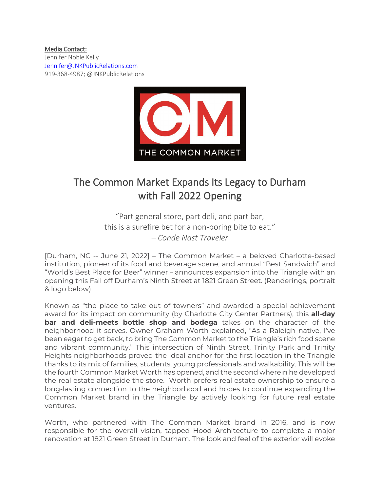## Media Contact:

Jennifer Noble Kelly [Jennifer@JNKPublicRelations.com](mailto:Jennifer@JNKPublicRelations.com) 919-368-4987; @JNKPublicRelations



## The Common Market Expands Its Legacy to Durham with Fall 2022 Opening

"Part general store, part deli, and part bar, this is a surefire bet for a non-boring bite to eat." *– Conde Nast Traveler*

[Durham, NC -- June 21, 2022] – The Common Market – a beloved Charlotte-based institution, pioneer of its food and beverage scene, and annual "Best Sandwich" and "World's Best Place for Beer" winner – announces expansion into the Triangle with an opening this Fall off Durham's Ninth Street at 1821 Green Street. (Renderings, portrait & logo below)

Known as "the place to take out of towners" and awarded a special achievement award for its impact on community (by Charlotte City Center Partners), this **all-day bar and deli-meets bottle shop and bodega** takes on the character of the neighborhood it serves. Owner Graham Worth explained, "As a Raleigh native, I've been eager to get back, to bring The Common Market to the Triangle's rich food scene and vibrant community." This intersection of Ninth Street, Trinity Park and Trinity Heights neighborhoods proved the ideal anchor for the first location in the Triangle thanks to its mix of families, students, young professionals and walkability. This will be the fourth Common Market Worth has opened, and the second wherein he developed the real estate alongside the store. Worth prefers real estate ownership to ensure a long-lasting connection to the neighborhood and hopes to continue expanding the Common Market brand in the Triangle by actively looking for future real estate ventures.

Worth, who partnered with The Common Market brand in 2016, and is now responsible for the overall vision, tapped Hood Architecture to complete a major renovation at 1821 Green Street in Durham. The look and feel of the exterior will evoke